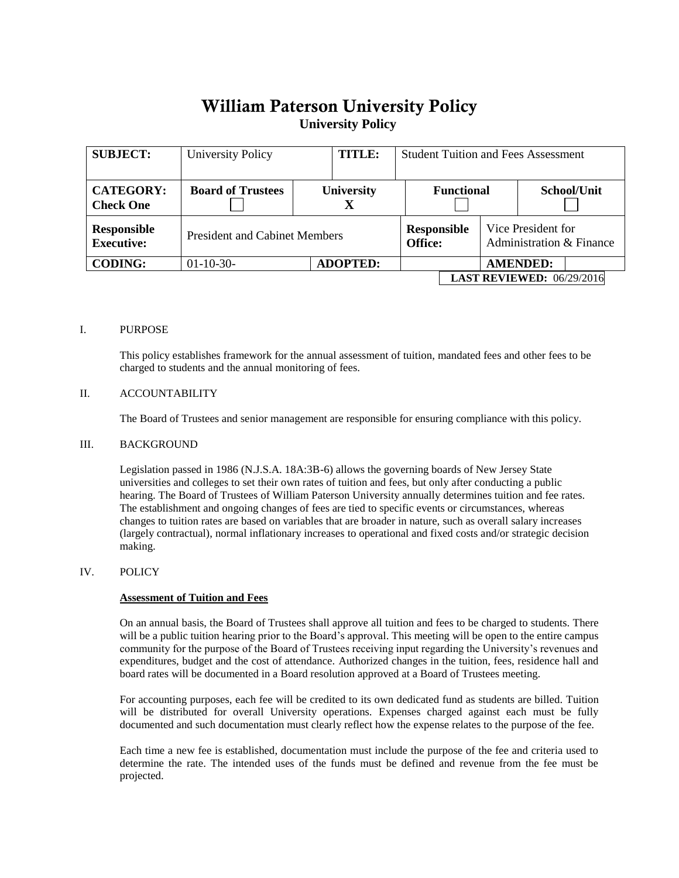# William Paterson University Policy **University Policy**

| <b>SUBJECT:</b>                      | University Policy                             | <b>TITLE:</b>   | <b>Student Tuition and Fees Assessment</b> |  |                                                |                 |  |
|--------------------------------------|-----------------------------------------------|-----------------|--------------------------------------------|--|------------------------------------------------|-----------------|--|
| <b>CATEGORY:</b><br><b>Check One</b> | <b>Board of Trustees</b><br><b>University</b> |                 | <b>Functional</b>                          |  |                                                | School/Unit     |  |
| Responsible<br><b>Executive:</b>     | <b>President and Cabinet Members</b>          |                 | <b>Responsible</b><br>Office:              |  | Vice President for<br>Administration & Finance |                 |  |
| <b>CODING:</b>                       | $01-10-30-$                                   | <b>ADOPTED:</b> |                                            |  |                                                | <b>AMENDED:</b> |  |
|                                      |                                               |                 | <b>LAST REVIEWED: 06/29/2016</b>           |  |                                                |                 |  |

## I. PURPOSE

This policy establishes framework for the annual assessment of tuition, mandated fees and other fees to be charged to students and the annual monitoring of fees.

## II. ACCOUNTABILITY

The Board of Trustees and senior management are responsible for ensuring compliance with this policy.

#### III. BACKGROUND

Legislation passed in 1986 (N.J.S.A. 18A:3B-6) allows the governing boards of New Jersey State universities and colleges to set their own rates of tuition and fees, but only after conducting a public hearing. The Board of Trustees of William Paterson University annually determines tuition and fee rates. The establishment and ongoing changes of fees are tied to specific events or circumstances, whereas changes to tuition rates are based on variables that are broader in nature, such as overall salary increases (largely contractual), normal inflationary increases to operational and fixed costs and/or strategic decision making.

#### IV. POLICY

#### **Assessment of Tuition and Fees**

On an annual basis, the Board of Trustees shall approve all tuition and fees to be charged to students. There will be a public tuition hearing prior to the Board's approval. This meeting will be open to the entire campus community for the purpose of the Board of Trustees receiving input regarding the University's revenues and expenditures, budget and the cost of attendance. Authorized changes in the tuition, fees, residence hall and board rates will be documented in a Board resolution approved at a Board of Trustees meeting.

For accounting purposes, each fee will be credited to its own dedicated fund as students are billed. Tuition will be distributed for overall University operations. Expenses charged against each must be fully documented and such documentation must clearly reflect how the expense relates to the purpose of the fee.

Each time a new fee is established, documentation must include the purpose of the fee and criteria used to determine the rate. The intended uses of the funds must be defined and revenue from the fee must be projected.